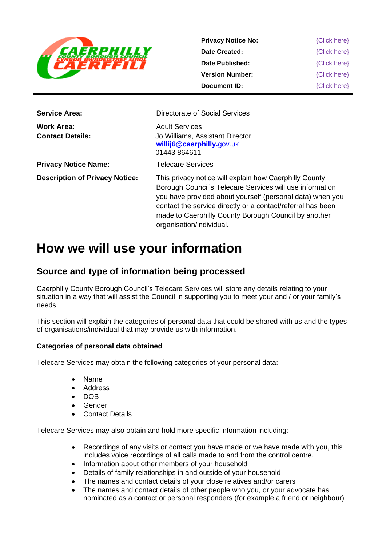

**Privacy Notice No: Date Created: Date Published: Version Number: Document ID:** {Click here} {Click here} {Click here} {Click here} {Click here}

| <b>Service Area:</b>                  | Directorate of Social Services                                                                                                                                                                                                                                                                                                     |
|---------------------------------------|------------------------------------------------------------------------------------------------------------------------------------------------------------------------------------------------------------------------------------------------------------------------------------------------------------------------------------|
| Work Area:<br><b>Contact Details:</b> | <b>Adult Services</b><br>Jo Williams, Assistant Director<br>willij6@caerphilly.gov.uk<br>01443864611                                                                                                                                                                                                                               |
| <b>Privacy Notice Name:</b>           | <b>Telecare Services</b>                                                                                                                                                                                                                                                                                                           |
| <b>Description of Privacy Notice:</b> | This privacy notice will explain how Caerphilly County<br>Borough Council's Telecare Services will use information<br>you have provided about yourself (personal data) when you<br>contact the service directly or a contact/referral has been<br>made to Caerphilly County Borough Council by another<br>organisation/individual. |

# **How we will use your information**

# **Source and type of information being processed**

Caerphilly County Borough Council's Telecare Services will store any details relating to your situation in a way that will assist the Council in supporting you to meet your and / or your family's needs.

This section will explain the categories of personal data that could be shared with us and the types of organisations/individual that may provide us with information.

#### **Categories of personal data obtained**

Telecare Services may obtain the following categories of your personal data:

- Name
- Address
- DOB
- Gender
- **Contact Details**

Telecare Services may also obtain and hold more specific information including:

- Recordings of any visits or contact you have made or we have made with you, this includes voice recordings of all calls made to and from the control centre.
- Information about other members of your household
- Details of family relationships in and outside of your household
- The names and contact details of your close relatives and/or carers
- The names and contact details of other people who you, or your advocate has nominated as a contact or personal responders (for example a friend or neighbour)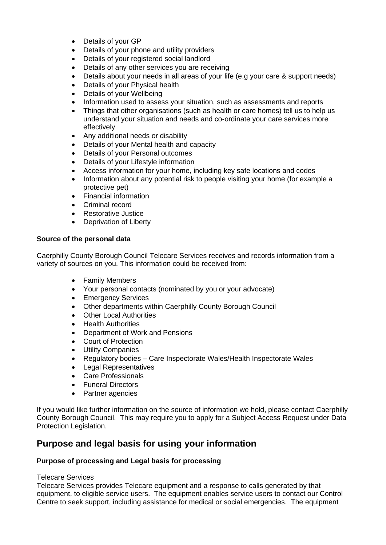- Details of your GP
- Details of your phone and utility providers
- Details of your registered social landlord
- Details of any other services you are receiving
- Details about your needs in all areas of your life (e.g your care & support needs)
- Details of your Physical health
- Details of your Wellbeing
- Information used to assess your situation, such as assessments and reports
- Things that other organisations (such as health or care homes) tell us to help us understand your situation and needs and co-ordinate your care services more effectively
- Any additional needs or disability
- Details of your Mental health and capacity
- Details of your Personal outcomes
- Details of your Lifestyle information
- Access information for your home, including key safe locations and codes
- Information about any potential risk to people visiting your home (for example a protective pet)
- Financial information
- Criminal record
- Restorative Justice
- Deprivation of Liberty

#### **Source of the personal data**

Caerphilly County Borough Council Telecare Services receives and records information from a variety of sources on you. This information could be received from:

- Family Members
- Your personal contacts (nominated by you or your advocate)
- Emergency Services
- Other departments within Caerphilly County Borough Council
- Other Local Authorities
- Health Authorities
- Department of Work and Pensions
- Court of Protection
- Utility Companies
- Regulatory bodies Care Inspectorate Wales/Health Inspectorate Wales
- Legal Representatives
- Care Professionals
- Funeral Directors
- Partner agencies

If you would like further information on the source of information we hold, please contact Caerphilly County Borough Council. This may require you to apply for a Subject Access Request under Data Protection Legislation.

## **Purpose and legal basis for using your information**

#### **Purpose of processing and Legal basis for processing**

#### Telecare Services

Telecare Services provides Telecare equipment and a response to calls generated by that equipment, to eligible service users. The equipment enables service users to contact our Control Centre to seek support, including assistance for medical or social emergencies. The equipment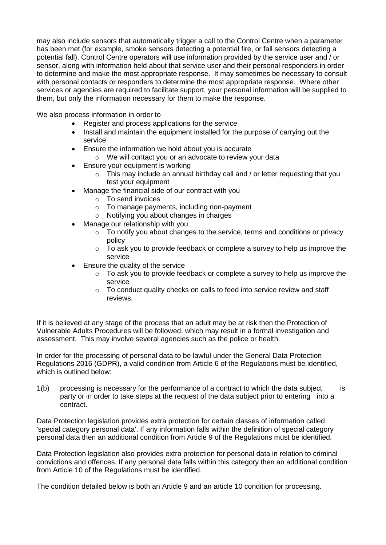may also include sensors that automatically trigger a call to the Control Centre when a parameter has been met (for example, smoke sensors detecting a potential fire, or fall sensors detecting a potential fall). Control Centre operators will use information provided by the service user and / or sensor, along with information held about that service user and their personal responders in order to determine and make the most appropriate response. It may sometimes be necessary to consult with personal contacts or responders to determine the most appropriate response. Where other services or agencies are required to facilitate support, your personal information will be supplied to them, but only the information necessary for them to make the response.

We also process information in order to

- Register and process applications for the service
- Install and maintain the equipment installed for the purpose of carrying out the service
- Ensure the information we hold about you is accurate
	- o We will contact you or an advocate to review your data
- Ensure your equipment is working
	- o This may include an annual birthday call and / or letter requesting that you test your equipment
	- Manage the financial side of our contract with you
		- o To send invoices
		- o To manage payments, including non-payment
		- o Notifying you about changes in charges
	- Manage our relationship with you
		- $\circ$  To notify you about changes to the service, terms and conditions or privacy policy
		- $\circ$  To ask you to provide feedback or complete a survey to help us improve the service
- Ensure the quality of the service
	- o To ask you to provide feedback or complete a survey to help us improve the service
	- o To conduct quality checks on calls to feed into service review and staff reviews.

If it is believed at any stage of the process that an adult may be at risk then the Protection of Vulnerable Adults Procedures will be followed, which may result in a formal investigation and assessment. This may involve several agencies such as the police or health.

In order for the processing of personal data to be lawful under the General Data Protection Regulations 2016 (GDPR), a valid condition from Article 6 of the Regulations must be identified, which is outlined below:

1(b) processing is necessary for the performance of a contract to which the data subject is party or in order to take steps at the request of the data subject prior to entering into a contract.

Data Protection legislation provides extra protection for certain classes of information called 'special category personal data'. If any information falls within the definition of special category personal data then an additional condition from Article 9 of the Regulations must be identified.

Data Protection legislation also provides extra protection for personal data in relation to criminal convictions and offences. If any personal data falls within this category then an additional condition from Article 10 of the Regulations must be identified.

The condition detailed below is both an Article 9 and an article 10 condition for processing.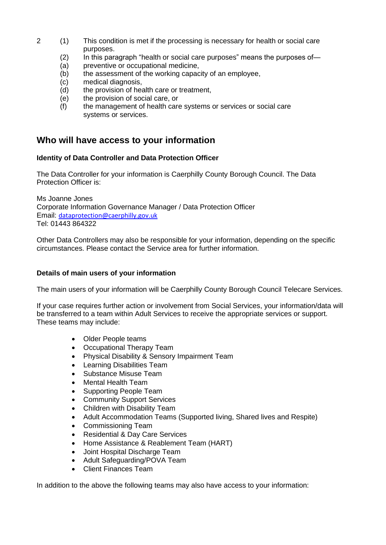- 2 (1) This condition is met if the processing is necessary for health or social care purposes.
	- (2) In this paragraph "health or social care purposes" means the purposes of—
	- (a) preventive or occupational medicine,
	- (b) the assessment of the working capacity of an employee,
	- (c) medical diagnosis,
	- (d) the provision of health care or treatment,
	- (e) the provision of social care, or
	- (f) the management of health care systems or services or social care systems or services.

## **Who will have access to your information**

#### **Identity of Data Controller and Data Protection Officer**

The Data Controller for your information is Caerphilly County Borough Council. The Data Protection Officer is:

Ms Joanne Jones Corporate Information Governance Manager / Data Protection Officer Email: [dataprotection@caerphilly.gov.uk](mailto:dataprotection@caerphilly.gov.uk) Tel: 01443 864322

Other Data Controllers may also be responsible for your information, depending on the specific circumstances. Please contact the Service area for further information.

#### **Details of main users of your information**

The main users of your information will be Caerphilly County Borough Council Telecare Services.

If your case requires further action or involvement from Social Services, your information/data will be transferred to a team within Adult Services to receive the appropriate services or support. These teams may include:

- Older People teams
- Occupational Therapy Team
- Physical Disability & Sensory Impairment Team
- Learning Disabilities Team
- Substance Misuse Team
- Mental Health Team
- Supporting People Team
- Community Support Services
- Children with Disability Team
- Adult Accommodation Teams (Supported living, Shared lives and Respite)
- Commissioning Team
- Residential & Day Care Services
- Home Assistance & Reablement Team (HART)
- Joint Hospital Discharge Team
- Adult Safeguarding/POVA Team
- Client Finances Team

In addition to the above the following teams may also have access to your information: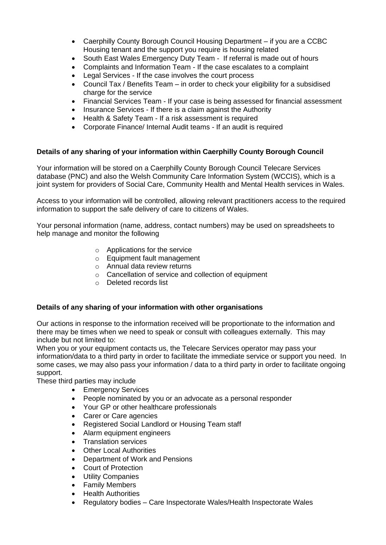- Caerphilly County Borough Council Housing Department if you are a CCBC Housing tenant and the support you require is housing related
- South East Wales Emergency Duty Team If referral is made out of hours
- Complaints and Information Team If the case escalates to a complaint
- Legal Services If the case involves the court process
- Council Tax / Benefits Team in order to check your eligibility for a subsidised charge for the service
- Financial Services Team If your case is being assessed for financial assessment
- Insurance Services If there is a claim against the Authority
- Health & Safety Team If a risk assessment is required
- Corporate Finance/ Internal Audit teams If an audit is required

#### **Details of any sharing of your information within Caerphilly County Borough Council**

Your information will be stored on a Caerphilly County Borough Council Telecare Services database (PNC) and also the Welsh Community Care Information System (WCCIS), which is a joint system for providers of Social Care, Community Health and Mental Health services in Wales.

Access to your information will be controlled, allowing relevant practitioners access to the required information to support the safe delivery of care to citizens of Wales.

Your personal information (name, address, contact numbers) may be used on spreadsheets to help manage and monitor the following

- o Applications for the service
- o Equipment fault management
- o Annual data review returns
- o Cancellation of service and collection of equipment
- o Deleted records list

#### **Details of any sharing of your information with other organisations**

Our actions in response to the information received will be proportionate to the information and there may be times when we need to speak or consult with colleagues externally. This may include but not limited to:

When you or your equipment contacts us, the Telecare Services operator may pass your information/data to a third party in order to facilitate the immediate service or support you need. In some cases, we may also pass your information / data to a third party in order to facilitate ongoing support.

These third parties may include

- Emergency Services
- People nominated by you or an advocate as a personal responder
- Your GP or other healthcare professionals
- Carer or Care agencies
- Registered Social Landlord or Housing Team staff
- Alarm equipment engineers
- Translation services
- Other Local Authorities
- Department of Work and Pensions
- Court of Protection
- Utility Companies
- Family Members
- Health Authorities
- Regulatory bodies Care Inspectorate Wales/Health Inspectorate Wales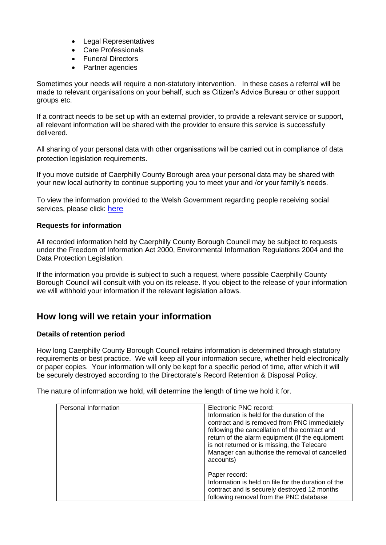- **Legal Representatives**
- Care Professionals
- Funeral Directors
- Partner agencies

Sometimes your needs will require a non-statutory intervention. In these cases a referral will be made to relevant organisations on your behalf, such as Citizen's Advice Bureau or other support groups etc.

If a contract needs to be set up with an external provider, to provide a relevant service or support, all relevant information will be shared with the provider to ensure this service is successfully delivered.

All sharing of your personal data with other organisations will be carried out in compliance of data protection legislation requirements.

If you move outside of Caerphilly County Borough area your personal data may be shared with your new local authority to continue supporting you to meet your and /or your family's needs.

To view the information provided to the Welsh Government regarding people receiving social services, please click: [here](http://gov.wales/statistics-and-research/local-authority-social-services-data-collections/?lang=en)

#### **Requests for information**

All recorded information held by Caerphilly County Borough Council may be subject to requests under the Freedom of Information Act 2000, Environmental Information Regulations 2004 and the Data Protection Legislation.

If the information you provide is subject to such a request, where possible Caerphilly County Borough Council will consult with you on its release. If you object to the release of your information we will withhold your information if the relevant legislation allows.

## **How long will we retain your information**

#### **Details of retention period**

How long Caerphilly County Borough Council retains information is determined through statutory requirements or best practice. We will keep all your information secure, whether held electronically or paper copies. Your information will only be kept for a specific period of time, after which it will be securely destroyed according to the Directorate's Record Retention & Disposal Policy.

The nature of information we hold, will determine the length of time we hold it for.

| Personal Information | Electronic PNC record:<br>Information is held for the duration of the<br>contract and is removed from PNC immediately                            |
|----------------------|--------------------------------------------------------------------------------------------------------------------------------------------------|
|                      | following the cancellation of the contract and<br>return of the alarm equipment (If the equipment<br>is not returned or is missing, the Telecare |
|                      | Manager can authorise the removal of cancelled<br>accounts)                                                                                      |
|                      | Paper record:                                                                                                                                    |
|                      | Information is held on file for the duration of the<br>contract and is securely destroyed 12 months                                              |
|                      | following removal from the PNC database                                                                                                          |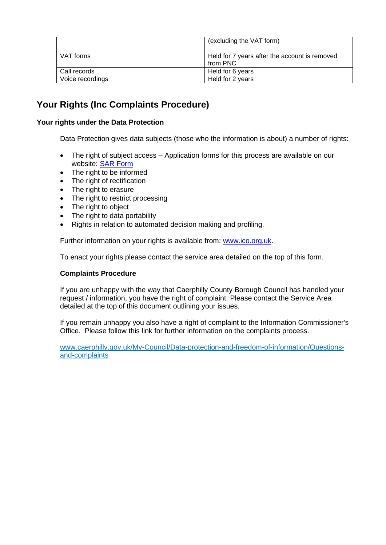|                  | (excluding the VAT form)                                  |
|------------------|-----------------------------------------------------------|
| VAT forms        | Held for 7 years after the account is removed<br>from PNC |
| Call records     | Held for 6 years                                          |
| Voice recordings | Held for 2 years                                          |

# **Your Rights (Inc Complaints Procedure)**

#### **Your rights under the Data Protection**

Data Protection gives data subjects (those who the information is about) a number of rights:

- The right of subject access Application forms for this process are available on our website: [SAR Form](http://www.caerphilly.gov.uk/CaerphillyDocs/Council-and-democracy/sar_form.aspx)
- The right to be informed
- The right of rectification
- The right to erasure
- The right to restrict processing
- The right to object
- The right to data portability
- Rights in relation to automated decision making and profiling.

Further information on your rights is available from: [www.ico.org.uk.](http://www.ico.org.uk/)

To enact your rights please contact the service area detailed on the top of this form.

#### **Complaints Procedure**

If you are unhappy with the way that Caerphilly County Borough Council has handled your request / information, you have the right of complaint. Please contact the Service Area detailed at the top of this document outlining your issues.

If you remain unhappy you also have a right of complaint to the Information Commissioner's Office. Please follow this link for further information on the complaints process.

[www.caerphilly.gov.uk/My-Council/Data-protection-and-freedom-of-information/Questions](http://www.caerphilly.gov.uk/My-Council/Data-protection-and-freedom-of-information/Questions-and-complaints)[and-complaints](http://www.caerphilly.gov.uk/My-Council/Data-protection-and-freedom-of-information/Questions-and-complaints)